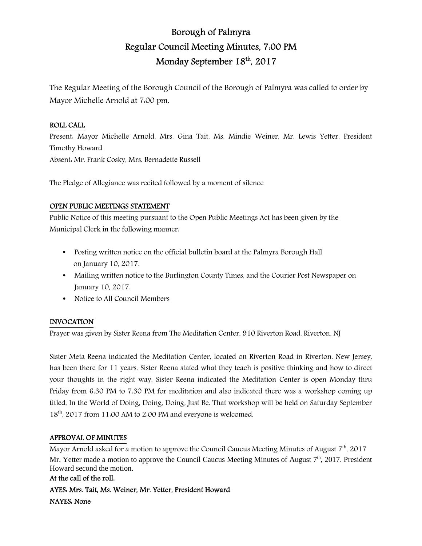# Borough of Palmyra Regular Council Meeting Minutes, 7:00 PM Monday September 18<sup>th</sup>, 2017

The Regular Meeting of the Borough Council of the Borough of Palmyra was called to order by Mayor Michelle Arnold at 7:00 pm.

### ROLL CALL

Present: Mayor Michelle Arnold, Mrs. Gina Tait, Ms. Mindie Weiner, Mr. Lewis Yetter, President Timothy Howard Absent: Mr. Frank Cosky, Mrs. Bernadette Russell

The Pledge of Allegiance was recited followed by a moment of silence

### OPEN PUBLIC MEETINGS STATEMENT

Public Notice of this meeting pursuant to the Open Public Meetings Act has been given by the Municipal Clerk in the following manner:

- Posting written notice on the official bulletin board at the Palmyra Borough Hall on January 10, 2017.
- Mailing written notice to the Burlington County Times, and the Courier Post Newspaper on January 10, 2017.
- Notice to All Council Members

### INVOCATION

Prayer was given by Sister Reena from The Meditation Center, 910 Riverton Road, Riverton, NJ

Sister Meta Reena indicated the Meditation Center, located on Riverton Road in Riverton, New Jersey, has been there for 11 years. Sister Reena stated what they teach is positive thinking and how to direct your thoughts in the right way. Sister Reena indicated the Meditation Center is open Monday thru Friday from 6:30 PM to 7:30 PM for meditation and also indicated there was a workshop coming up titled, In the World of Doing, Doing, Doing, Just Be. That workshop will be held on Saturday September 18<sup>th</sup>, 2017 from 11:00 AM to 2:00 PM and everyone is welcomed.

# APPROVAL OF MINUTES

Mayor Arnold asked for a motion to approve the Council Caucus Meeting Minutes of August  $7<sup>th</sup>$ , 2017 Mr. Yetter made a motion to approve the Council Caucus Meeting Minutes of August 7<sup>th</sup>, 2017. President Howard second the motion.

# At the call of the roll:

AYES: Mrs. Tait, Ms. Weiner, Mr. Yetter, President Howard NAYES: None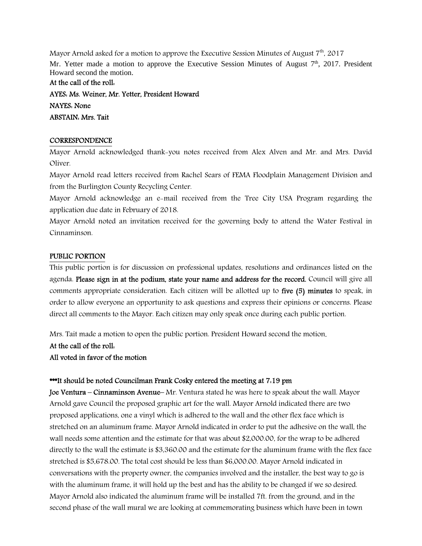Mayor Arnold asked for a motion to approve the Executive Session Minutes of August 7<sup>th</sup>. 2017 Mr. Yetter made a motion to approve the Executive Session Minutes of August  $7<sup>th</sup>$ , 2017. President Howard second the motion.

#### At the call of the roll:

AYES: Ms. Weiner, Mr. Yetter, President Howard NAYES: None ABSTAIN: Mrs. Tait

### **CORRESPONDENCE**

Mayor Arnold acknowledged thank-you notes received from Alex Alven and Mr. and Mrs. David Oliver.

Mayor Arnold read letters received from Rachel Sears of FEMA Floodplain Management Division and from the Burlington County Recycling Center.

Mayor Arnold acknowledge an e-mail received from the Tree City USA Program regarding the application due date in February of 2018.

Mayor Arnold noted an invitation received for the governing body to attend the Water Festival in Cinnaminson.

### PUBLIC PORTION

This public portion is for discussion on professional updates, resolutions and ordinances listed on the agenda. Please sign in at the podium, state your name and address for the record. Council will give all comments appropriate consideration. Each citizen will be allotted up to five (5) minutes to speak, in order to allow everyone an opportunity to ask questions and express their opinions or concerns. Please direct all comments to the Mayor. Each citizen may only speak once during each public portion.

Mrs. Tait made a motion to open the public portion. President Howard second the motion.

### At the call of the roll:

### All voted in favor of the motion

### \*\*It should be noted Councilman Frank Cosky entered the meeting at 7.19 pm

Joe Ventura – Cinnaminson Avenue– Mr. Ventura stated he was here to speak about the wall. Mayor Arnold gave Council the proposed graphic art for the wall. Mayor Arnold indicated there are two proposed applications, one a vinyl which is adhered to the wall and the other flex face which is stretched on an aluminum frame. Mayor Arnold indicated in order to put the adhesive on the wall, the wall needs some attention and the estimate for that was about \$2,000.00, for the wrap to be adhered directly to the wall the estimate is \$3,360.00 and the estimate for the aluminum frame with the flex face stretched is \$5,678.00. The total cost should be less than \$6,000.00. Mayor Arnold indicated in conversations with the property owner, the companies involved and the installer, the best way to go is with the aluminum frame, it will hold up the best and has the ability to be changed if we so desired. Mayor Arnold also indicated the aluminum frame will be installed 7ft. from the ground, and in the second phase of the wall mural we are looking at commemorating business which have been in town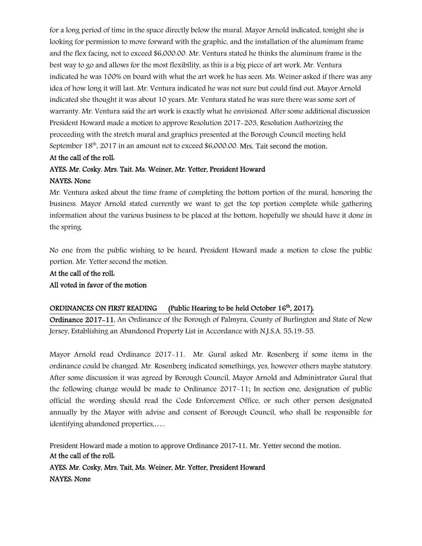for a long period of time in the space directly below the mural. Mayor Arnold indicated, tonight she is looking for permission to move forward with the graphic, and the installation of the aluminum frame and the flex facing, not to exceed \$6,000.00. Mr. Ventura stated he thinks the aluminum frame is the best way to go and allows for the most flexibility, as this is a big piece of art work. Mr. Ventura indicated he was 100% on board with what the art work he has seen. Ms. Weiner asked if there was any idea of how long it will last. Mr. Ventura indicated he was not sure but could find out. Mayor Arnold indicated she thought it was about 10 years. Mr. Ventura stated he was sure there was some sort of warranty. Mr. Ventura said the art work is exactly what he envisioned. After some additional discussion President Howard made a motion to approve Resolution 2017-203, Resolution Authorizing the proceeding with the stretch mural and graphics presented at the Borough Council meeting held September 18<sup>th</sup>, 2017 in an amount not to exceed \$6,000.00. Mrs. Tait second the motion.

#### At the call of the roll:

### AYES: Mr. Cosky. Mrs. Tait. Ms. Weiner, Mr. Yetter, President Howard

#### NAYES: None

Mr. Ventura asked about the time frame of completing the bottom portion of the mural, honoring the business. Mayor Arnold stated currently we want to get the top portion complete while gathering information about the various business to be placed at the bottom, hopefully we should have it done in the spring.

No one from the public wishing to be heard, President Howard made a motion to close the public portion. Mr. Yetter second the motion.

# At the call of the roll: All voted in favor of the motion

### ORDINANCES ON FIRST READING (Public Hearing to be held October 16<sup>th</sup>, 2017).

Ordinance 2017-11, An Ordinance of the Borough of Palmyra, County of Burlington and State of New Jersey, Establishing an Abandoned Property List in Accordance with N.J.S.A. 55:19-55.

Mayor Arnold read Ordinance 2017-11. Mr. Gural asked Mr. Rosenberg if some items in the ordinance could be changed. Mr. Rosenberg indicated somethings, yes, however others maybe statutory. After some discussion it was agreed by Borough Council, Mayor Arnold and Administrator Gural that the following change would be made to Ordinance 2017-11; In section one, designation of public official the wording should read the Code Enforcement Office, or such other person designated annually by the Mayor with advise and consent of Borough Council, who shall be responsible for identifying abandoned properties,…..

President Howard made a motion to approve Ordinance 2017-11. Mr. Yetter second the motion. At the call of the roll: AYES: Mr. Cosky, Mrs. Tait, Ms. Weiner, Mr. Yetter, President Howard NAYES: None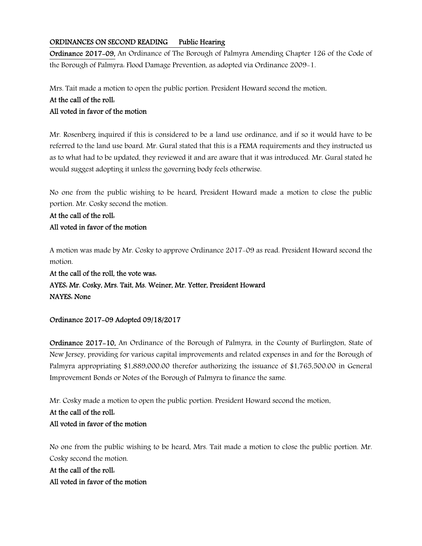### ORDINANCES ON SECOND READING Public Hearing

Ordinance 2017-09, An Ordinance of The Borough of Palmyra Amending Chapter 126 of the Code of the Borough of Palmyra: Flood Damage Prevention, as adopted via Ordinance 2009-1.

Mrs. Tait made a motion to open the public portion. President Howard second the motion.

## At the call of the roll:

## All voted in favor of the motion

Mr. Rosenberg inquired if this is considered to be a land use ordinance, and if so it would have to be referred to the land use board. Mr. Gural stated that this is a FEMA requirements and they instructed us as to what had to be updated, they reviewed it and are aware that it was introduced. Mr. Gural stated he would suggest adopting it unless the governing body feels otherwise.

No one from the public wishing to be heard, President Howard made a motion to close the public portion. Mr. Cosky second the motion.

At the call of the roll: All voted in favor of the motion

A motion was made by Mr. Cosky to approve Ordinance 2017-09 as read. President Howard second the motion.

At the call of the roll, the vote was: AYES: Mr. Cosky, Mrs. Tait, Ms. Weiner, Mr. Yetter, President Howard NAYES: None

### Ordinance 2017-09 Adopted 09/18/2017

Ordinance 2017-10, An Ordinance of the Borough of Palmyra, in the County of Burlington, State of New Jersey, providing for various capital improvements and related expenses in and for the Borough of Palmyra appropriating \$1,889,000.00 therefor authorizing the issuance of \$1,765,500.00 in General Improvement Bonds or Notes of the Borough of Palmyra to finance the same.

Mr. Cosky made a motion to open the public portion. President Howard second the motion.

# At the call of the roll: All voted in favor of the motion

No one from the public wishing to be heard, Mrs. Tait made a motion to close the public portion. Mr. Cosky second the motion.

At the call of the roll: All voted in favor of the motion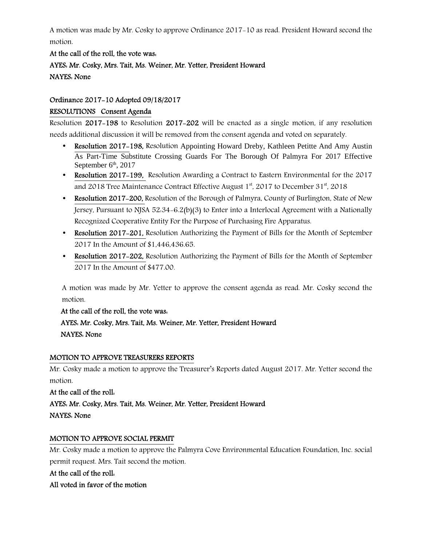A motion was made by Mr. Cosky to approve Ordinance 2017-10 as read. President Howard second the motion.

# At the call of the roll, the vote was: AYES: Mr. Cosky, Mrs. Tait, Ms. Weiner, Mr. Yetter, President Howard NAYES: None

### Ordinance 2017-10 Adopted 09/18/2017

### RESOLUTIONS Consent Agenda

Resolution 2017-198 to Resolution 2017-202 will be enacted as a single motion, if any resolution needs additional discussion it will be removed from the consent agenda and voted on separately.

- Resolution 2017–198, Resolution Appointing Howard Dreby, Kathleen Petitte And Amy Austin As Part-Time Substitute Crossing Guards For The Borough Of Palmyra For 2017 Effective September  $6<sup>th</sup>$ , 2017
- Resolution 2017–199, Resolution Awarding a Contract to Eastern Environmental for the 2017 and 2018 Tree Maintenance Contract Effective August  $1<sup>st</sup>$ , 2017 to December 31<sup>st</sup>, 2018
- Resolution 2017–200, Resolution of the Borough of Palmyra, County of Burlington, State of New Jersey, Pursuant to NJSA 52:34-6.2(b)(3) to Enter into a Interlocal Agreement with a Nationally Recognized Cooperative Entity For the Purpose of Purchasing Fire Apparatus.
- Resolution 2017-201, Resolution Authorizing the Payment of Bills for the Month of September 2017 In the Amount of \$1,446,436.65.
- Resolution 2017–202, Resolution Authorizing the Payment of Bills for the Month of September 2017 In the Amount of \$477.00.

A motion was made by Mr. Yetter to approve the consent agenda as read. Mr. Cosky second the motion.

At the call of the roll, the vote was:

# AYES: Mr. Cosky, Mrs. Tait, Ms. Weiner, Mr. Yetter, President Howard NAYES: None

### MOTION TO APPROVE TREASURERS REPORTS

Mr. Cosky made a motion to approve the Treasurer's Reports dated August 2017. Mr. Yetter second the motion.

# At the call of the roll: AYES: Mr. Cosky, Mrs. Tait, Ms. Weiner, Mr. Yetter, President Howard NAYES: None

### MOTION TO APPROVE SOCIAL PERMIT

Mr. Cosky made a motion to approve the Palmyra Cove Environmental Education Foundation, Inc. social permit request. Mrs. Tait second the motion.

### At the call of the roll:

### All voted in favor of the motion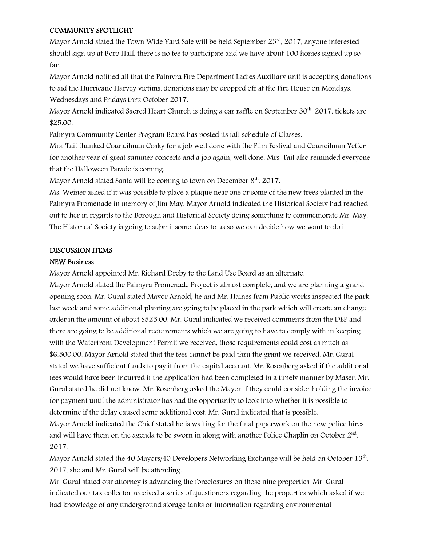### COMMUNITY SPOTLIGHT

Mayor Arnold stated the Town Wide Yard Sale will be held September 23rd, 2017, anyone interested should sign up at Boro Hall, there is no fee to participate and we have about 100 homes signed up so far.

Mayor Arnold notified all that the Palmyra Fire Department Ladies Auxiliary unit is accepting donations to aid the Hurricane Harvey victims, donations may be dropped off at the Fire House on Mondays, Wednesdays and Fridays thru October 2017.

Mayor Arnold indicated Sacred Heart Church is doing a car raffle on September  $30<sup>th</sup>$ , 2017, tickets are \$25.00.

Palmyra Community Center Program Board has posted its fall schedule of Classes.

Mrs. Tait thanked Councilman Cosky for a job well done with the Film Festival and Councilman Yetter for another year of great summer concerts and a job again, well done. Mrs. Tait also reminded everyone that the Halloween Parade is coming.

Mayor Arnold stated Santa will be coming to town on December  $8<sup>th</sup>$ , 2017.

Ms. Weiner asked if it was possible to place a plaque near one or some of the new trees planted in the Palmyra Promenade in memory of Jim May. Mayor Arnold indicated the Historical Society had reached out to her in regards to the Borough and Historical Society doing something to commemorate Mr. May. The Historical Society is going to submit some ideas to us so we can decide how we want to do it.

### DISCUSSION ITEMS

### NEW Business

Mayor Arnold appointed Mr. Richard Dreby to the Land Use Board as an alternate.

Mayor Arnold stated the Palmyra Promenade Project is almost complete, and we are planning a grand opening soon. Mr. Gural stated Mayor Arnold, he and Mr. Haines from Public works inspected the park last week and some additional planting are going to be placed in the park which will create an change order in the amount of about \$525.00. Mr. Gural indicated we received comments from the DEP and there are going to be additional requirements which we are going to have to comply with in keeping with the Waterfront Development Permit we received, those requirements could cost as much as \$6,500.00. Mayor Arnold stated that the fees cannot be paid thru the grant we received. Mr. Gural stated we have sufficient funds to pay it from the capital account. Mr. Rosenberg asked if the additional fees would have been incurred if the application had been completed in a timely manner by Maser. Mr. Gural stated he did not know. Mr. Rosenberg asked the Mayor if they could consider holding the invoice for payment until the administrator has had the opportunity to look into whether it is possible to determine if the delay caused some additional cost. Mr. Gural indicated that is possible. Mayor Arnold indicated the Chief stated he is waiting for the final paperwork on the new police hires and will have them on the agenda to be sworn in along with another Police Chaplin on October  $2^{nd}$ , 2017.

Mayor Arnold stated the 40 Mayors/40 Developers Networking Exchange will be held on October  $13^{\text{th}}$ , 2017, she and Mr. Gural will be attending.

Mr. Gural stated our attorney is advancing the foreclosures on those nine properties. Mr. Gural indicated our tax collector received a series of questioners regarding the properties which asked if we had knowledge of any underground storage tanks or information regarding environmental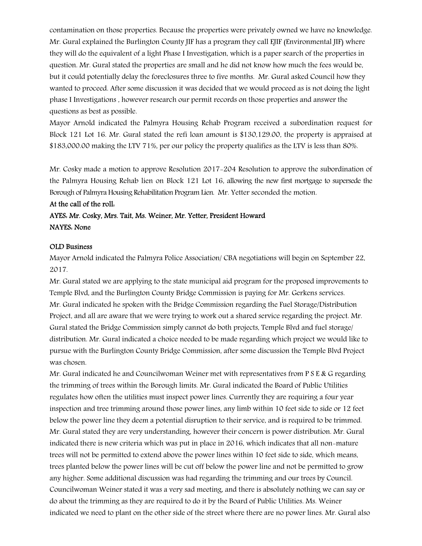contamination on those properties. Because the properties were privately owned we have no knowledge. Mr. Gural explained the Burlington County JIF has a program they call EJIF (Environmental JIF) where they will do the equivalent of a light Phase I Investigation, which is a paper search of the properties in question. Mr. Gural stated the properties are small and he did not know how much the fees would be, but it could potentially delay the foreclosures three to five months. Mr. Gural asked Council how they wanted to proceed. After some discussion it was decided that we would proceed as is not doing the light phase I Investigations , however research our permit records on those properties and answer the questions as best as possible.

Mayor Arnold indicated the Palmyra Housing Rehab Program received a subordination request for Block 121 Lot 16. Mr. Gural stated the refi loan amount is \$130,129.00, the property is appraised at \$183,000.00 making the LTV 71%, per our policy the property qualifies as the LTV is less than 80%.

Mr. Cosky made a motion to approve Resolution 2017-204 Resolution to approve the subordination of the Palmyra Housing Rehab lien on Block 121 Lot 16, allowing the new first mortgage to supersede the Borough of Palmyra Housing Rehabilitation Program Lien. Mr. Yetter seconded the motion.

# At the call of the roll: AYES: Mr. Cosky, Mrs. Tait, Ms. Weiner, Mr. Yetter, President Howard NAYES: None

#### OLD Business

Mayor Arnold indicated the Palmyra Police Association/ CBA negotiations will begin on September 22, 2017.

Mr. Gural stated we are applying to the state municipal aid program for the proposed improvements to Temple Blvd, and the Burlington County Bridge Commission is paying for Mr. Gerkens services. Mr. Gural indicated he spoken with the Bridge Commission regarding the Fuel Storage/Distribution Project, and all are aware that we were trying to work out a shared service regarding the project. Mr. Gural stated the Bridge Commission simply cannot do both projects, Temple Blvd and fuel storage/ distribution. Mr. Gural indicated a choice needed to be made regarding which project we would like to pursue with the Burlington County Bridge Commission, after some discussion the Temple Blvd Project was chosen.

Mr. Gural indicated he and Councilwoman Weiner met with representatives from  $P S E \& G$  regarding the trimming of trees within the Borough limits. Mr. Gural indicated the Board of Public Utilities regulates how often the utilities must inspect power lines. Currently they are requiring a four year inspection and tree trimming around those power lines, any limb within 10 feet side to side or 12 feet below the power line they deem a potential disruption to their service, and is required to be trimmed. Mr. Gural stated they are very understanding, however their concern is power distribution. Mr. Gural indicated there is new criteria which was put in place in 2016, which indicates that all non-mature trees will not be permitted to extend above the power lines within 10 feet side to side, which means, trees planted below the power lines will be cut off below the power line and not be permitted to grow any higher. Some additional discussion was had regarding the trimming and our trees by Council. Councilwoman Weiner stated it was a very sad meeting, and there is absolutely nothing we can say or do about the trimming as they are required to do it by the Board of Public Utilities. Ms. Weiner indicated we need to plant on the other side of the street where there are no power lines. Mr. Gural also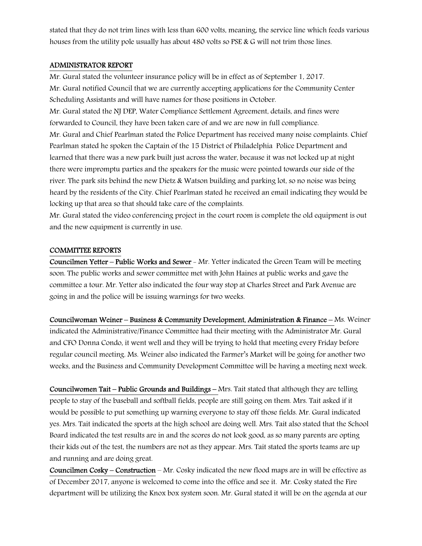stated that they do not trim lines with less than 600 volts, meaning, the service line which feeds various houses from the utility pole usually has about 480 volts so PSE & G will not trim those lines.

#### ADMINISTRATOR REPORT

Mr. Gural stated the volunteer insurance policy will be in effect as of September 1, 2017. Mr. Gural notified Council that we are currently accepting applications for the Community Center Scheduling Assistants and will have names for those positions in October.

Mr. Gural stated the NJ DEP, Water Compliance Settlement Agreement, details, and fines were forwarded to Council, they have been taken care of and we are now in full compliance. Mr. Gural and Chief Pearlman stated the Police Department has received many noise complaints. Chief Pearlman stated he spoken the Captain of the 15 District of Philadelphia Police Department and learned that there was a new park built just across the water, because it was not locked up at night there were impromptu parties and the speakers for the music were pointed towards our side of the river. The park sits behind the new Dietz & Watson building and parking lot, so no noise was being heard by the residents of the City. Chief Pearlman stated he received an email indicating they would be locking up that area so that should take care of the complaints.

Mr. Gural stated the video conferencing project in the court room is complete the old equipment is out and the new equipment is currently in use.

#### COMMITTEE REPORTS

Councilmen Yetter – Public Works and Sewer - Mr. Yetter indicated the Green Team will be meeting soon. The public works and sewer committee met with John Haines at public works and gave the committee a tour. Mr. Yetter also indicated the four way stop at Charles Street and Park Avenue are going in and the police will be issuing warnings for two weeks.

Councilwoman Weiner – Business & Community Development, Administration & Finance – Ms. Weiner indicated the Administrative/Finance Committee had their meeting with the Administrator Mr. Gural and CFO Donna Condo, it went well and they will be trying to hold that meeting every Friday before regular council meeting. Ms. Weiner also indicated the Farmer's Market will be going for another two weeks, and the Business and Community Development Committee will be having a meeting next week.

Councilwomen Tait – Public Grounds and Buildings – Mrs. Tait stated that although they are telling people to stay of the baseball and softball fields, people are still going on them. Mrs. Tait asked if it would be possible to put something up warning everyone to stay off those fields. Mr. Gural indicated yes. Mrs. Tait indicated the sports at the high school are doing well. Mrs. Tait also stated that the School Board indicated the test results are in and the scores do not look good, as so many parents are opting their kids out of the test, the numbers are not as they appear. Mrs. Tait stated the sports teams are up and running and are doing great.

Councilmen Cosky – Construction – Mr. Cosky indicated the new flood maps are in will be effective as of December 2017, anyone is welcomed to come into the office and see it. Mr. Cosky stated the Fire department will be utilizing the Knox box system soon. Mr. Gural stated it will be on the agenda at our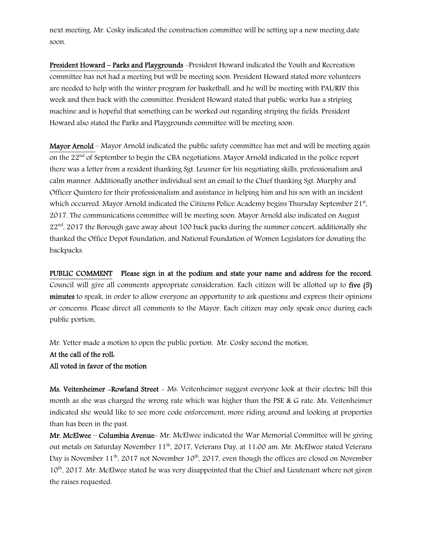next meeting. Mr. Cosky indicated the construction committee will be setting up a new meeting date soon.

President Howard – Parks and Playgrounds –President Howard indicated the Youth and Recreation committee has not had a meeting but will be meeting soon. President Howard stated more volunteers are needed to help with the winter program for basketball, and he will be meeting with PAL/RIV this week and then back with the committee. President Howard stated that public works has a striping machine and is hopeful that something can be worked out regarding striping the fields. President Howard also stated the Parks and Playgrounds committee will be meeting soon.

Mayor Arnold – Mayor Arnold indicated the public safety committee has met and will be meeting again on the  $22<sup>nd</sup>$  of September to begin the CBA negotiations. Mayor Arnold indicated in the police report there was a letter from a resident thanking Sgt. Leusner for his negotiating skills, professionalism and calm manner. Additionally another individual sent an email to the Chief thanking Sgt. Murphy and Officer Quintero for their professionalism and assistance in helping him and his son with an incident which occurred. Mayor Arnold indicated the Citizens Police Academy begins Thursday September 21st, 2017. The communications committee will be meeting soon. Mayor Arnold also indicated on August  $22<sup>nd</sup>$ , 2017 the Borough gave away about 100 back packs during the summer concert, additionally she thanked the Office Depot Foundation, and National Foundation of Women Legislators for donating the backpacks.

PUBLIC COMMENT Please sign in at the podium and state your name and address for the record. Council will give all comments appropriate consideration. Each citizen will be allotted up to five (5) minutes to speak, in order to allow everyone an opportunity to ask questions and express their opinions or concerns. Please direct all comments to the Mayor. Each citizen may only speak once during each public portion.

Mr. Yetter made a motion to open the public portion. Mr. Cosky second the motion.

### At the call of the roll: All voted in favor of the motion

Ms. Veitenheimer -Rowland Street - Ms. Veitenheimer suggest everyone look at their electric bill this month as she was charged the wrong rate which was higher than the PSE & G rate. Ms. Veitenheimer indicated she would like to see more code enforcement, more riding around and looking at properties than has been in the past.

Mr. McElwee – Columbia Avenue- Mr. McElwee indicated the War Memorial Committee will be giving out metals on Saturday November 11<sup>th</sup>, 2017, Veterans Day, at 11:00 am. Mr. McElwee stated Veterans Dav is November  $11^{th}$ , 2017 not November  $10^{th}$ , 2017, even though the offices are closed on November 10<sup>th</sup>, 2017. Mr. McElwee stated he was very disappointed that the Chief and Lieutenant where not given the raises requested.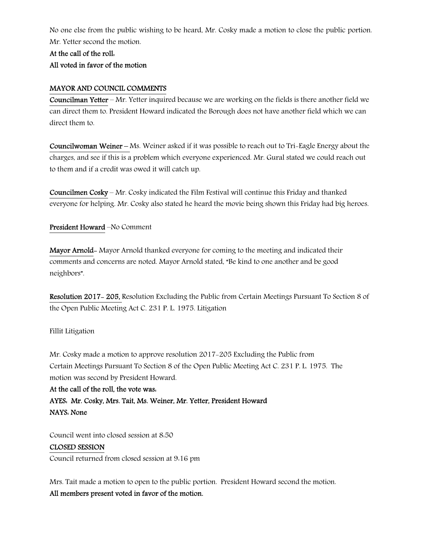No one else from the public wishing to be heard, Mr. Cosky made a motion to close the public portion. Mr. Yetter second the motion.

### At the call of the roll:

### All voted in favor of the motion

### MAYOR AND COUNCIL COMMENTS

Councilman Yetter – Mr. Yetter inquired because we are working on the fields is there another field we can direct them to. President Howard indicated the Borough does not have another field which we can direct them to.

Councilwoman Weiner – Ms. Weiner asked if it was possible to reach out to Tri-Eagle Energy about the charges, and see if this is a problem which everyone experienced. Mr. Gural stated we could reach out to them and if a credit was owed it will catch up.

Councilmen Cosky – Mr. Cosky indicated the Film Festival will continue this Friday and thanked everyone for helping. Mr. Cosky also stated he heard the movie being shown this Friday had big heroes.

### President Howard –No Comment

Mayor Arnold- Mayor Arnold thanked everyone for coming to the meeting and indicated their comments and concerns are noted. Mayor Arnold stated, "Be kind to one another and be good neighbors".

Resolution 2017- 205, Resolution Excluding the Public from Certain Meetings Pursuant To Section 8 of the Open Public Meeting Act C. 231 P. L. 1975. Litigation

### Fillit Litigation

Mr. Cosky made a motion to approve resolution 2017-205 Excluding the Public from Certain Meetings Pursuant To Section 8 of the Open Public Meeting Act C. 231 P. L. 1975. The motion was second by President Howard.

#### At the call of the roll, the vote was:

AYES: Mr. Cosky, Mrs. Tait, Ms. Weiner, Mr. Yetter, President Howard NAYS: None

Council went into closed session at 8:50

### CLOSED SESSION

Council returned from closed session at 9:16 pm

Mrs. Tait made a motion to open to the public portion. President Howard second the motion. All members present voted in favor of the motion.